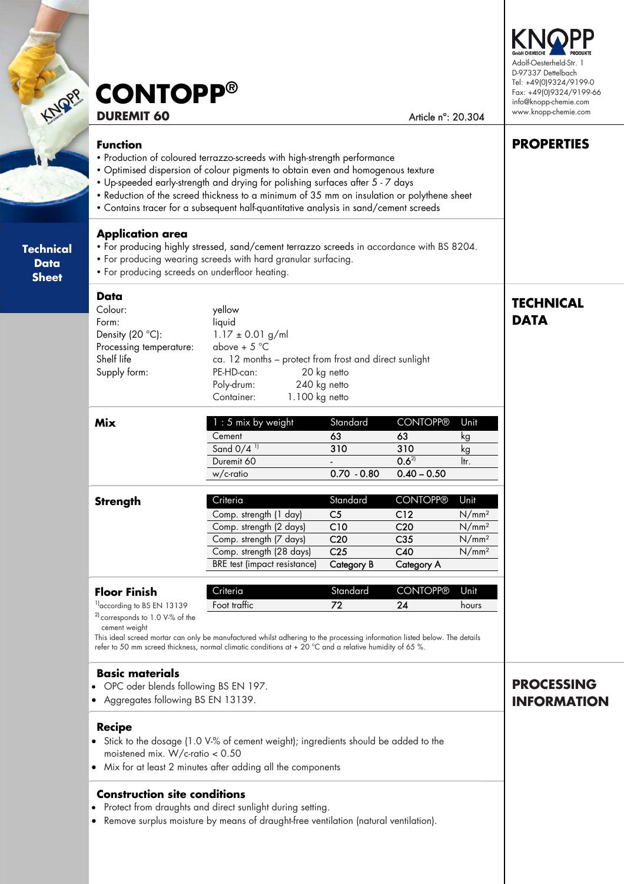# **DUREMIT 60** Article n°: 20.304 **CONTOPP®**

#### **Function**

**Technical**   $\mathcal{L}$ **Sheet** 

> **Technical Data Sheet**

- Production of coloured terrazzo-screeds with high-strength performance
- Optimised dispersion of colour pigments to obtain even and homogenous texture
- Up-speeded early-strength and drying for polishing surfaces after 5 7 days
- Reduction of the screed thickness to a minimum of 35 mm on insulation or polythene sheet
- Contains tracer for a subsequent half-quantitative analysis in sand/cement screeds

#### **Application area**

- For producing highly stressed, sand/cement terrazzo screeds in accordance with BS 8204.
- For producing wearing screeds with hard granular surfacing.
- For producing screeds on underfloor heating.

#### **Data**

| Data                       |                       |                                                        |
|----------------------------|-----------------------|--------------------------------------------------------|
| Colour:                    | yellow                |                                                        |
| Form:                      | liquid                |                                                        |
| Density (20 $^{\circ}$ C): | $1.17 \pm 0.01$ g/ml  |                                                        |
| Processing temperature:    | above + $5^{\circ}$ C |                                                        |
| Shelf life                 |                       | ca. 12 months - protect from frost and direct sunlight |
| Supply form:               | PE-HD-can:            | 20 kg netto                                            |
|                            | Poly-drum:            | 240 kg netto                                           |
|                            | Container:            | 1.100 kg netto                                         |
|                            |                       |                                                        |

| Mix | $1:5$ mix by weight      | Standard      | <b>CONTOPP®</b> | Unit |
|-----|--------------------------|---------------|-----------------|------|
|     | Cement                   | 63            | 63              | κg   |
|     | Sand $0/4$ <sup>11</sup> | 310           | 310             | ĸс   |
|     | Duremit 60               |               | $0.6^{2}$       | ltr. |
|     | w/c-ratio                | $0.70 - 0.80$ | $0.40 - 0.50$   |      |

| Strength | Criteria                     | Standard        | <b>CONTOPP®</b>   | Unit              |
|----------|------------------------------|-----------------|-------------------|-------------------|
|          | Comp. strength (1 day)       | C5              | C <sub>12</sub>   | N/mm <sup>2</sup> |
|          | Comp. strength (2 days)      | C <sub>10</sub> | C <sub>20</sub>   | N/mm <sup>2</sup> |
|          | Comp. strength (7 days)      | C <sub>20</sub> | C <sub>35</sub>   | N/mm <sup>2</sup> |
|          | Comp. strength (28 days)     | C <sub>25</sub> | C40               | N/mm <sup>2</sup> |
|          | BRE test (impact resistance) | Category B      | <b>Category A</b> |                   |

| <b>Floor Finish</b>                   | Criteria     | Standard | CONTOPP® Unit |       |
|---------------------------------------|--------------|----------|---------------|-------|
| <sup>1</sup> according to BS EN 13139 | Foot traffic | 77       | 2Δ            | hours |
| $^{21}$ corresponds to 1.0 V-% of the |              |          |               |       |

cement weight

This ideal screed mortar can only be manufactured whilst adhering to the processing information listed below. The details refer to 50 mm screed thickness, normal climatic conditions at + 20 °C and a relative humidity of 65 %.

#### **Basic materials**

- OPC oder blends following BS EN 197.
- Aggregates following BS EN 13139.

#### **Recipe**

- Stick to the dosage (1.0 V-% of cement weight); ingredients should be added to the moistened mix. W/c-ratio < 0.50
- Mix for at least 2 minutes after adding all the components

### **Construction site conditions**

- Protect from draughts and direct sunlight during setting.
- Remove surplus moisture by means of draught-free ventilation (natural ventilation).

# **PROCESSING INFORMATION**



**PROPERTIES** 

**TECHNICAL** 

**DATA**